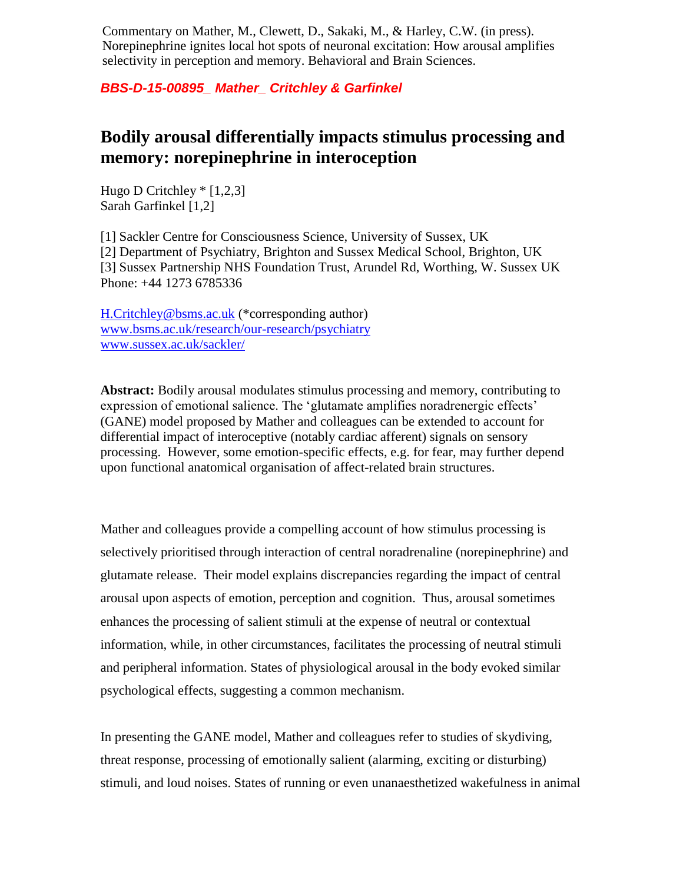Commentary on Mather, M., Clewett, D., Sakaki, M., & Harley, C.W. (in press). Norepinephrine ignites local hot spots of neuronal excitation: How arousal amplifies selectivity in perception and memory. Behavioral and Brain Sciences.

*BBS-D-15-00895\_ Mather\_ Critchley & Garfinkel*

## **Bodily arousal differentially impacts stimulus processing and memory: norepinephrine in interoception**

Hugo D Critchley \* [1,2,3] Sarah Garfinkel [1,2]

[1] Sackler Centre for Consciousness Science, University of Sussex, UK [2] Department of Psychiatry, Brighton and Sussex Medical School, Brighton, UK [3] Sussex Partnership NHS Foundation Trust, Arundel Rd, Worthing, W. Sussex UK Phone: +44 1273 6785336

[H.Critchley@bsms.ac.uk](mailto:H.Critchley@bsms.ac.uk) (\*corresponding author) [www.bsms.ac.uk/research/our-research/psychiatry](http://www.bsms.ac.uk/research/our-research/psychiatry) [www.sussex.ac.uk/sackler/](http://www.sussex.ac.uk/sackler/)

**Abstract:** Bodily arousal modulates stimulus processing and memory, contributing to expression of emotional salience. The 'glutamate amplifies noradrenergic effects' (GANE) model proposed by Mather and colleagues can be extended to account for differential impact of interoceptive (notably cardiac afferent) signals on sensory processing. However, some emotion-specific effects, e.g. for fear, may further depend upon functional anatomical organisation of affect-related brain structures.

Mather and colleagues provide a compelling account of how stimulus processing is selectively prioritised through interaction of central noradrenaline (norepinephrine) and glutamate release. Their model explains discrepancies regarding the impact of central arousal upon aspects of emotion, perception and cognition. Thus, arousal sometimes enhances the processing of salient stimuli at the expense of neutral or contextual information, while, in other circumstances, facilitates the processing of neutral stimuli and peripheral information. States of physiological arousal in the body evoked similar psychological effects, suggesting a common mechanism.

In presenting the GANE model, Mather and colleagues refer to studies of skydiving, threat response, processing of emotionally salient (alarming, exciting or disturbing) stimuli, and loud noises. States of running or even unanaesthetized wakefulness in animal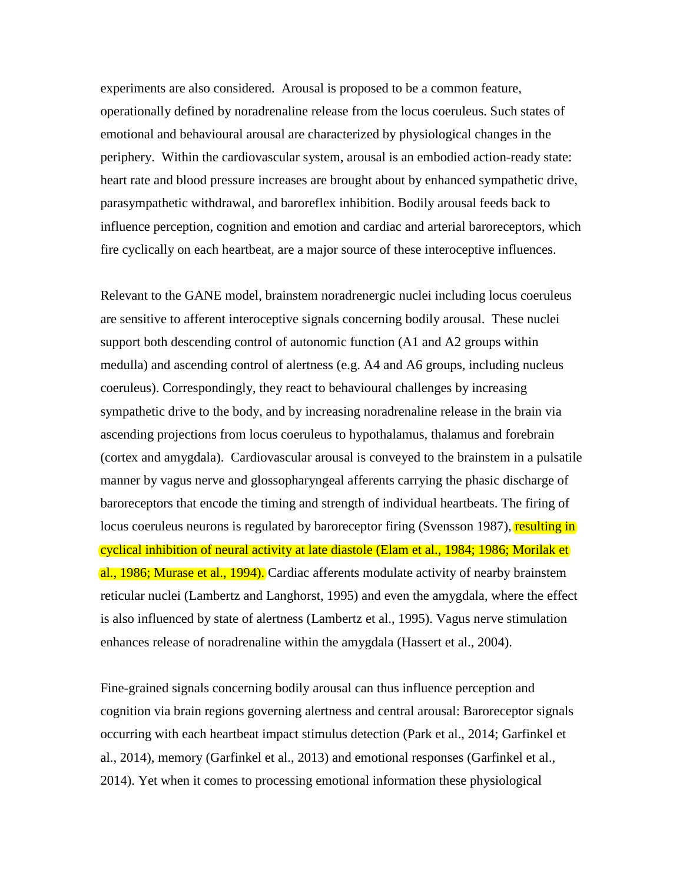experiments are also considered. Arousal is proposed to be a common feature, operationally defined by noradrenaline release from the locus coeruleus. Such states of emotional and behavioural arousal are characterized by physiological changes in the periphery. Within the cardiovascular system, arousal is an embodied action-ready state: heart rate and blood pressure increases are brought about by enhanced sympathetic drive, parasympathetic withdrawal, and baroreflex inhibition. Bodily arousal feeds back to influence perception, cognition and emotion and cardiac and arterial baroreceptors, which fire cyclically on each heartbeat, are a major source of these interoceptive influences.

Relevant to the GANE model, brainstem noradrenergic nuclei including locus coeruleus are sensitive to afferent interoceptive signals concerning bodily arousal. These nuclei support both descending control of autonomic function (A1 and A2 groups within medulla) and ascending control of alertness (e.g. A4 and A6 groups, including nucleus coeruleus). Correspondingly, they react to behavioural challenges by increasing sympathetic drive to the body, and by increasing noradrenaline release in the brain via ascending projections from locus coeruleus to hypothalamus, thalamus and forebrain (cortex and amygdala). Cardiovascular arousal is conveyed to the brainstem in a pulsatile manner by vagus nerve and glossopharyngeal afferents carrying the phasic discharge of baroreceptors that encode the timing and strength of individual heartbeats. The firing of locus coeruleus neurons is regulated by baroreceptor firing (Svensson 1987), resulting in cyclical inhibition of neural activity at late diastole (Elam et al., 1984; 1986; Morilak et al., 1986; Murase et al., 1994). Cardiac afferents modulate activity of nearby brainstem reticular nuclei (Lambertz and Langhorst, 1995) and even the amygdala, where the effect is also influenced by state of alertness (Lambertz et al., 1995). Vagus nerve stimulation enhances release of noradrenaline within the amygdala (Hassert et al., 2004).

Fine-grained signals concerning bodily arousal can thus influence perception and cognition via brain regions governing alertness and central arousal: Baroreceptor signals occurring with each heartbeat impact stimulus detection (Park et al., 2014; Garfinkel et al., 2014), memory (Garfinkel et al., 2013) and emotional responses (Garfinkel et al., 2014). Yet when it comes to processing emotional information these physiological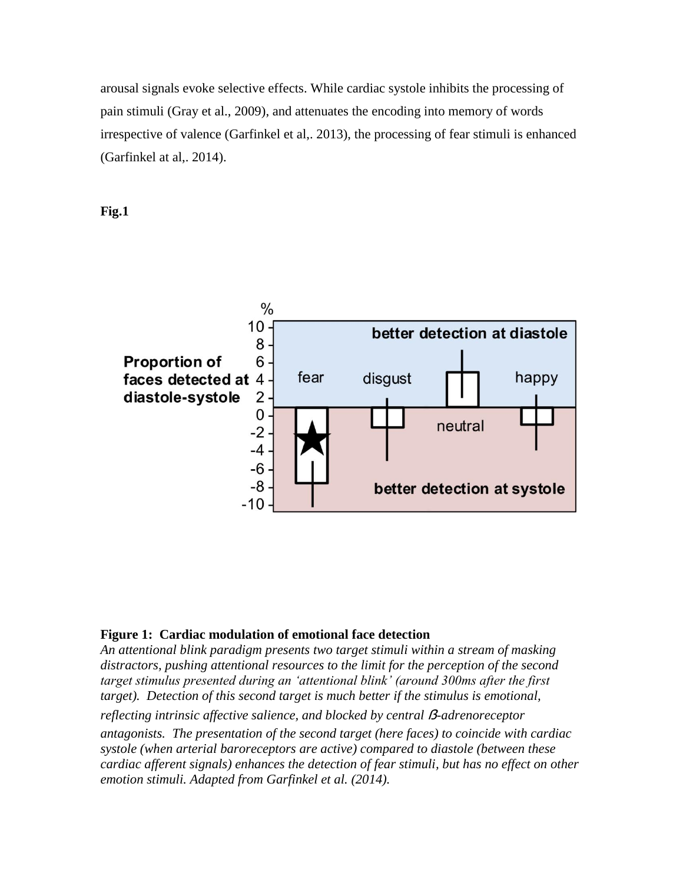arousal signals evoke selective effects. While cardiac systole inhibits the processing of pain stimuli (Gray et al., 2009), and attenuates the encoding into memory of words irrespective of valence (Garfinkel et al,. 2013), the processing of fear stimuli is enhanced (Garfinkel at al,. 2014).





## **Figure 1: Cardiac modulation of emotional face detection**

*An attentional blink paradigm presents two target stimuli within a stream of masking distractors, pushing attentional resources to the limit for the perception of the second target stimulus presented during an 'attentional blink' (around 300ms after the first target*). Detection of this second target is much better if the stimulus is emotional,

*reflecting intrinsic affective salience, and blocked by central B-adrenoreceptor antagonists. The presentation of the second target (here faces) to coincide with cardiac systole (when arterial baroreceptors are active) compared to diastole (between these cardiac afferent signals) enhances the detection of fear stimuli, but has no effect on other emotion stimuli. Adapted from Garfinkel et al. (2014).*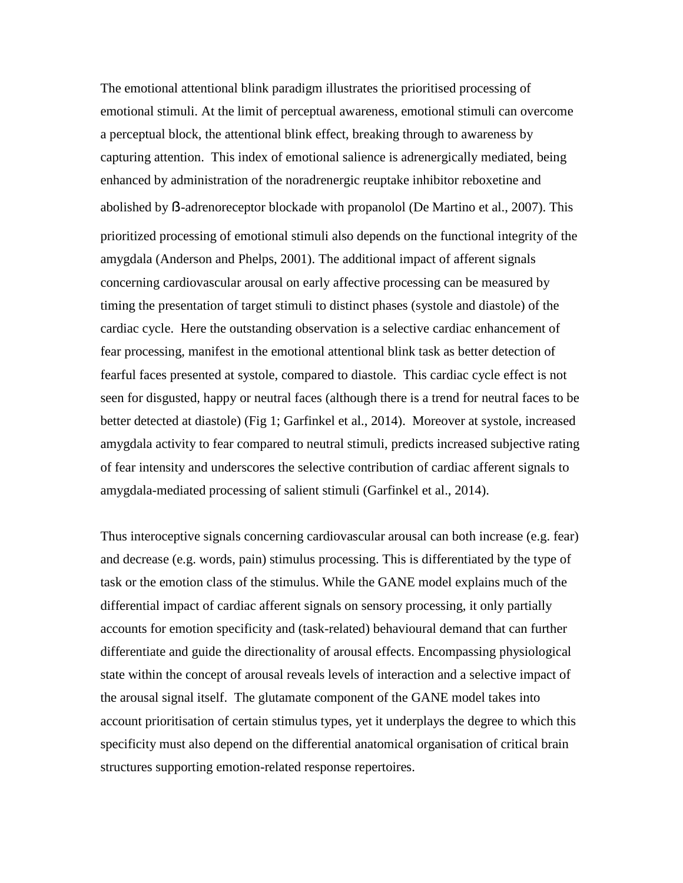The emotional attentional blink paradigm illustrates the prioritised processing of emotional stimuli. At the limit of perceptual awareness, emotional stimuli can overcome a perceptual block, the attentional blink effect, breaking through to awareness by capturing attention. This index of emotional salience is adrenergically mediated, being enhanced by administration of the noradrenergic reuptake inhibitor reboxetine and abolished by ẞ-adrenoreceptor blockade with propanolol (De Martino et al., 2007). This prioritized processing of emotional stimuli also depends on the functional integrity of the amygdala (Anderson and Phelps, 2001). The additional impact of afferent signals concerning cardiovascular arousal on early affective processing can be measured by timing the presentation of target stimuli to distinct phases (systole and diastole) of the cardiac cycle. Here the outstanding observation is a selective cardiac enhancement of fear processing, manifest in the emotional attentional blink task as better detection of fearful faces presented at systole, compared to diastole. This cardiac cycle effect is not seen for disgusted, happy or neutral faces (although there is a trend for neutral faces to be better detected at diastole) (Fig 1; Garfinkel et al., 2014). Moreover at systole, increased amygdala activity to fear compared to neutral stimuli, predicts increased subjective rating of fear intensity and underscores the selective contribution of cardiac afferent signals to amygdala-mediated processing of salient stimuli (Garfinkel et al., 2014).

Thus interoceptive signals concerning cardiovascular arousal can both increase (e.g. fear) and decrease (e.g. words, pain) stimulus processing. This is differentiated by the type of task or the emotion class of the stimulus. While the GANE model explains much of the differential impact of cardiac afferent signals on sensory processing, it only partially accounts for emotion specificity and (task-related) behavioural demand that can further differentiate and guide the directionality of arousal effects. Encompassing physiological state within the concept of arousal reveals levels of interaction and a selective impact of the arousal signal itself. The glutamate component of the GANE model takes into account prioritisation of certain stimulus types, yet it underplays the degree to which this specificity must also depend on the differential anatomical organisation of critical brain structures supporting emotion-related response repertoires.